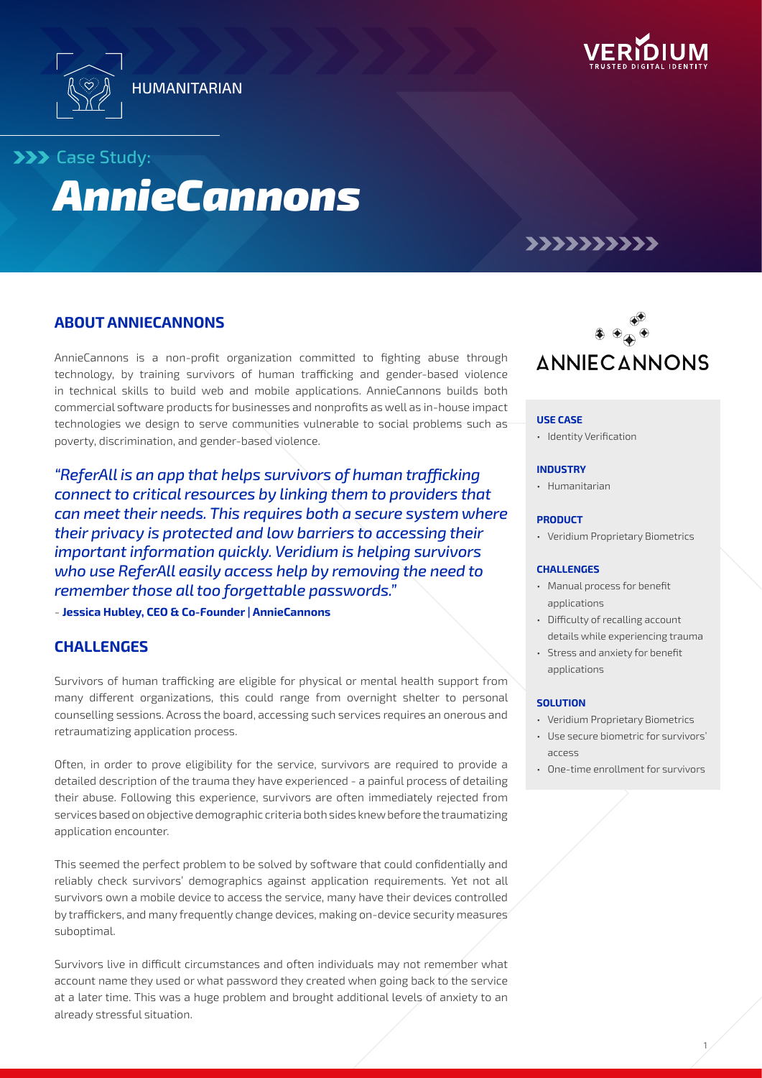



## **>>>** Case Study:

# *AnnieCannons*

## >>>>>>>>>>

## **ABOUT ANNIECANNONS**

AnnieCannons is a non-profit organization committed to fighting abuse through technology, by training survivors of human trafficking and gender-based violence in technical skills to build web and mobile applications. AnnieCannons builds both commercial software products for businesses and nonprofits as well as in-house impact technologies we design to serve communities vulnerable to social problems such as poverty, discrimination, and gender-based violence.

*"ReferAll is an app that helps survivors of human trafficking connect to critical resources by linking them to providers that can meet their needs. This requires both a secure system where their privacy is protected and low barriers to accessing their important information quickly. Veridium is helping survivors who use ReferAll easily access help by removing the need to remember those all too forgettable passwords."*

- **Jessica Hubley, CEO & Co-Founder | AnnieCannons**

## **CHALLENGES**

Survivors of human trafficking are eligible for physical or mental health support from many different organizations, this could range from overnight shelter to personal counselling sessions. Across the board, accessing such services requires an onerous and retraumatizing application process.

Often, in order to prove eligibility for the service, survivors are required to provide a detailed description of the trauma they have experienced - a painful process of detailing their abuse. Following this experience, survivors are often immediately rejected from services based on objective demographic criteria both sides knew before the traumatizing application encounter.

This seemed the perfect problem to be solved by software that could confidentially and reliably check survivors' demographics against application requirements. Yet not all survivors own a mobile device to access the service, many have their devices controlled by traffickers, and many frequently change devices, making on-device security measures suboptimal.

Survivors live in difficult circumstances and often individuals may not remember what account name they used or what password they created when going back to the service at a later time. This was a huge problem and brought additional levels of anxiety to an already stressful situation.



#### **USE CASE**

• Identity Verification

#### **INDUSTRY**

• Humanitarian

#### **PRODUCT**

• Veridium Proprietary Biometrics

#### **CHALLENGES**

- Manual process for benefit applications
- Difficulty of recalling account details while experiencing trauma
- Stress and anxiety for benefit applications

#### **SOLUTION**

- Veridium Proprietary Biometrics
- Use secure biometric for survivors' access
- One-time enrollment for survivors